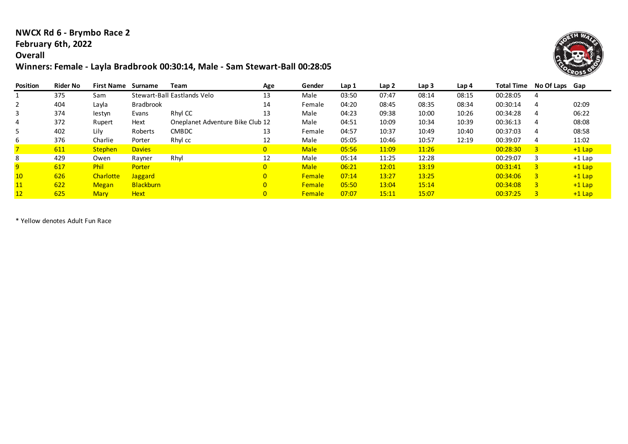## **NWCX Rd 6 - Brymbo Race 2**

# **February 6th, 2022**

### **Overall**

## **Winners: Female - Layla Bradbrook 00:30:14, Male - Sam Stewart-Ball 00:28:05**



| <b>Position</b> | <b>Rider No</b> | <b>First Name</b> | Surname          | <b>Team</b>                      | Age            | Gender        | Lap 1 | Lap <sub>2</sub> | Lap <sub>3</sub> | Lap 4 |          | Total Time No Of Laps Gap |          |
|-----------------|-----------------|-------------------|------------------|----------------------------------|----------------|---------------|-------|------------------|------------------|-------|----------|---------------------------|----------|
|                 | 375             | Sam               |                  | Stewart-Ball Eastlands Velo      | 13             | Male          | 03:50 | 07:47            | 08:14            | 08:15 | 00:28:05 | 4                         |          |
|                 | 404             | Layla             | <b>Bradbrook</b> |                                  | 14             | Female        | 04:20 | 08:45            | 08:35            | 08:34 | 00:30:14 | 4                         | 02:09    |
|                 | 374             | lestyn            | Evans            | Rhyl CC                          | 13             | Male          | 04:23 | 09:38            | 10:00            | 10:26 | 00:34:28 | 4                         | 06:22    |
|                 | 372             | Rupert            | Hext             | Oneplanet Adventure Bike Club 12 |                | Male          | 04:51 | 10:09            | 10:34            | 10:39 | 00:36:13 | 4                         | 08:08    |
|                 | 402             | Lily              | Roberts          | <b>CMBDC</b>                     | 13             | Female        | 04:57 | 10:37            | 10:49            | 10:40 | 00:37:03 | 4                         | 08:58    |
|                 | 376             | Charlie           | Porter           | Rhyl cc                          | 12             | Male          | 05:05 | 10:46            | 10:57            | 12:19 | 00:39:07 | 4                         | 11:02    |
|                 | 611             | <b>Stephen</b>    | <b>Davies</b>    |                                  | $\overline{0}$ | <b>Male</b>   | 05:56 | 11:09            | 11:26            |       | 00:28:30 | 3                         | $+1$ Lap |
|                 | 429             | Owen              | Rayner           | Rhyl                             | 12             | Male          | 05:14 | 11:25            | 12:28            |       | 00:29:07 | 3                         | $+1$ Lap |
|                 | 617             | <b>Phil</b>       | Porter           |                                  | $\mathbf{0}$   | <b>Male</b>   | 06:21 | 12:01            | 13:19            |       | 00:31:41 | 3                         | $+1$ Lap |
| 10 <sup>°</sup> | 626             | Charlotte         | <b>Jaggard</b>   |                                  | $\mathbf{0}$   | <b>Female</b> | 07:14 | 13:27            | 13:25            |       | 00:34:06 | $\overline{3}$            | $+1$ Lap |
| <b>11</b>       | 622             | <b>Megan</b>      | <b>Blackburn</b> |                                  | $\Omega$       | <b>Female</b> | 05:50 | 13:04            | 15:14            |       | 00:34:08 | $\overline{3}$            | $+1$ Lap |
|                 | 625             | <b>Mary</b>       | <b>Hext</b>      |                                  |                | <b>Female</b> | 07:07 | 15:11            | 15:07            |       | 00:37:25 | 3                         | $+1$ Lap |

\* Yellow denotes Adult Fun Race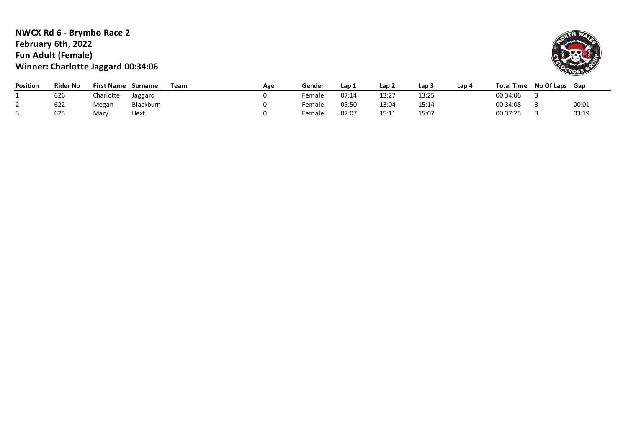### **NWCX Rd 6 - Brymbo Race 2 February 6th, 2022 Fun Adult (Female) Winner: Charlotte Jaggard 00:34:06**



| Position | <b>Rider No</b> | <b>First Name</b> | Surname   | Team | Age | Gender             | Lap 1 | Lap 2 | Lap : | Lap 4 | <b>Total Time</b> | No Of Laps | Gap   |
|----------|-----------------|-------------------|-----------|------|-----|--------------------|-------|-------|-------|-------|-------------------|------------|-------|
|          | 626             | Charlotte         | Jaggard   |      |     | <sup>:</sup> emale | 07:14 | 13:27 | 13:25 |       | 00:34:06          |            |       |
|          | 622             | Megan             | Blackburn |      |     | <sup>:</sup> emale | 05:50 | 13:04 | 15:14 |       | 00:34:08          |            | 00:01 |
|          | 625             | Mary              | Hext      |      |     | <sup>:</sup> emale | 07:07 | 15:11 | 15:07 |       | 00:37:25          |            | 03:19 |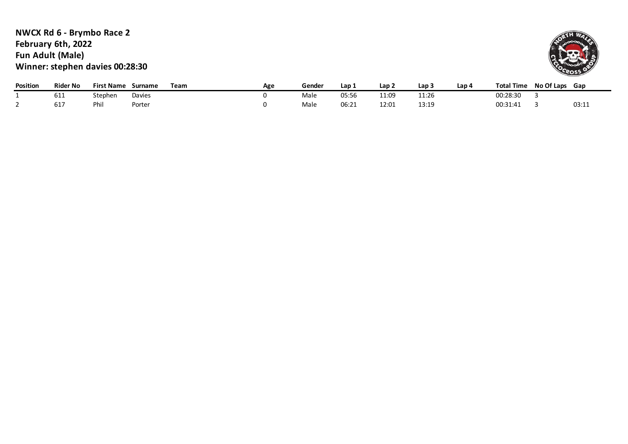### **NWCX Rd 6 - Brymbo Race 2 February 6th, 2022 Fun Adult (Male) Winner: stephen davies 00:28:30**



| <b>Position</b> | <b>Rider No</b> | <b>First Name</b> | Surname | Team | Age | Gender | Lap 1 | Lap 2 | Lap   | Lap 4 | Total Time | No Of Laps | Gap         |
|-----------------|-----------------|-------------------|---------|------|-----|--------|-------|-------|-------|-------|------------|------------|-------------|
|                 | 011             | Stephen           | Davies  |      |     | Male   | 05:56 | 11:09 | 11:26 |       | 00:28:30   |            |             |
|                 | . . -<br>oт     | Phi.              | Porter  |      |     | Male   | 06:21 | 12:01 | 13:19 |       | 00:31:41   |            | ∩?∙1<br>◡◡… |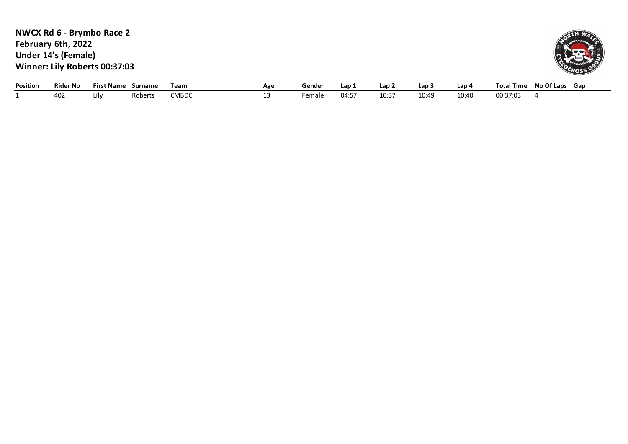### **NWCX Rd 6 - Brymbo Race 2 February 6th, 2022 Under 14's (Female) Winner: Lily Roberts 00:37:03**



| Position | <b>Rider No</b> | First Name | Surname | Team         | Age | Gender | Lap                              | ∸ar  | Lap   | Lap   | Tota<br>Time | No Of Laps<br>Gap |
|----------|-----------------|------------|---------|--------------|-----|--------|----------------------------------|------|-------|-------|--------------|-------------------|
|          | uU.<br>−∪∠      |            | Roberts | <b>CMBDC</b> |     | Female | $\bigcap A \cdot \square$<br>᠇.J | 10:3 | 10:49 | 10:40 | 00:37:03     |                   |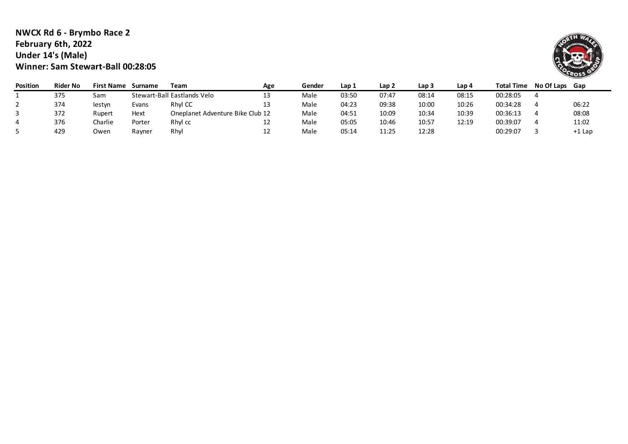#### **NWCX Rd 6 - Brymbo Race 2 February 6th, 2022 Under 14's (Male) Winner: Sam Stewart-Ball 00:28:05**



| <b>Position</b> | <b>Rider No</b> | <b>First Name</b> | Surname | Team                             | Age | Gender | Lap 1 | Lap 2 | Lap 3 | Lap 4 | <b>Total Time</b> | No Of Laps | Gap      |
|-----------------|-----------------|-------------------|---------|----------------------------------|-----|--------|-------|-------|-------|-------|-------------------|------------|----------|
|                 | 375             | Sam               |         | Stewart-Ball Eastlands Velo      | 13  | Male   | 03:50 | 07:47 | 08:14 | 08:15 | 00:28:05          |            |          |
|                 | 374             | lestyn            | Evans   | Rhyl CC                          | 13  | Male   | 04:23 | 09:38 | 10:00 | 10:26 | 00:34:28          |            | 06:22    |
|                 | 372             | Rupert            | Hext    | Oneplanet Adventure Bike Club 12 |     | Male   | 04:51 | 10:09 | 10:34 | 10:39 | 00:36:13          |            | 08:08    |
|                 | 376             | Charlie           | Porter  | Rhyl cc                          | 12  | Male   | 05:05 | 10:46 | 10:57 | 12:19 | 00:39:07          |            | 11:02    |
|                 | 429             | Owen              | Rayner  | Rhyl                             |     | Male   | 05:14 | 11:25 | 12:28 |       | 00:29:07          |            | $+1$ Lap |